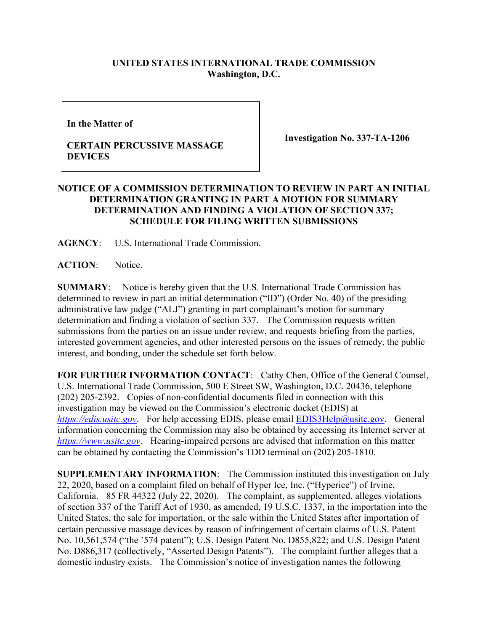## **UNITED STATES INTERNATIONAL TRADE COMMISSION Washington, D.C.**

**In the Matter of** 

## **CERTAIN PERCUSSIVE MASSAGE DEVICES**

**Investigation No. 337-TA-1206**

## **NOTICE OF A COMMISSION DETERMINATION TO REVIEW IN PART AN INITIAL DETERMINATION GRANTING IN PART A MOTION FOR SUMMARY DETERMINATION AND FINDING A VIOLATION OF SECTION 337; SCHEDULE FOR FILING WRITTEN SUBMISSIONS**

**AGENCY**: U.S. International Trade Commission.

**ACTION**: Notice.

**SUMMARY**: Notice is hereby given that the U.S. International Trade Commission has determined to review in part an initial determination ("ID") (Order No. 40) of the presiding administrative law judge ("ALJ") granting in part complainant's motion for summary determination and finding a violation of section 337. The Commission requests written submissions from the parties on an issue under review, and requests briefing from the parties, interested government agencies, and other interested persons on the issues of remedy, the public interest, and bonding, under the schedule set forth below.

**FOR FURTHER INFORMATION CONTACT**: Cathy Chen, Office of the General Counsel, U.S. International Trade Commission, 500 E Street SW, Washington, D.C. 20436, telephone (202) 205-2392. Copies of non-confidential documents filed in connection with this investigation may be viewed on the Commission's electronic docket (EDIS) at *[https://edis.usitc.gov](https://edis.usitc.gov/).* For help accessing EDIS, please email [EDIS3Help@usitc.gov.](mailto:EDIS3Help@usitc.gov) General information concerning the Commission may also be obtained by accessing its Internet server at *[https://www.usitc.gov](https://www.usitc.gov/)*. Hearing-impaired persons are advised that information on this matter can be obtained by contacting the Commission's TDD terminal on (202) 205-1810.

**SUPPLEMENTARY INFORMATION**: The Commission instituted this investigation on July 22, 2020, based on a complaint filed on behalf of Hyper Ice, Inc. ("Hyperice") of Irvine, California. 85 FR 44322 (July 22, 2020). The complaint, as supplemented, alleges violations of section 337 of the Tariff Act of 1930, as amended, 19 U.S.C. 1337, in the importation into the United States, the sale for importation, or the sale within the United States after importation of certain percussive massage devices by reason of infringement of certain claims of U.S. Patent No. 10,561,574 ("the '574 patent"); U.S. Design Patent No. D855,822; and U.S. Design Patent No. D886,317 (collectively, "Asserted Design Patents"). The complaint further alleges that a domestic industry exists. The Commission's notice of investigation names the following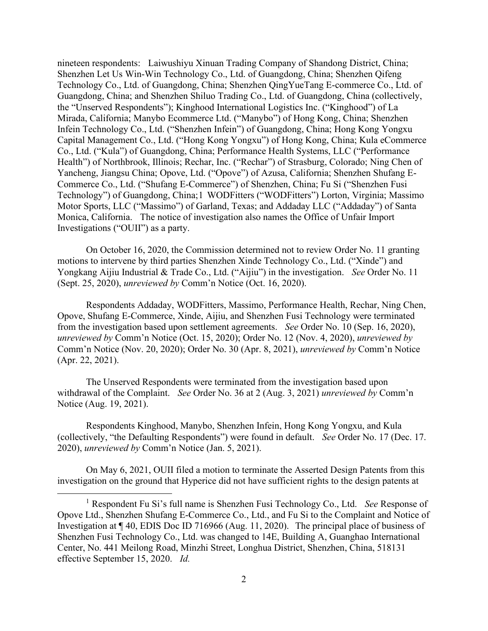nineteen respondents: Laiwushiyu Xinuan Trading Company of Shandong District, China; Shenzhen Let Us Win-Win Technology Co., Ltd. of Guangdong, China; Shenzhen Qifeng Technology Co., Ltd. of Guangdong, China; Shenzhen QingYueTang E-commerce Co., Ltd. of Guangdong, China; and Shenzhen Shiluo Trading Co., Ltd. of Guangdong, China (collectively, the "Unserved Respondents"); Kinghood International Logistics Inc. ("Kinghood") of La Mirada, California; Manybo Ecommerce Ltd. ("Manybo") of Hong Kong, China; Shenzhen Infein Technology Co., Ltd. ("Shenzhen Infein") of Guangdong, China; Hong Kong Yongxu Capital Management Co., Ltd. ("Hong Kong Yongxu") of Hong Kong, China; Kula eCommerce Co., Ltd. ("Kula") of Guangdong, China; Performance Health Systems, LLC ("Performance Health") of Northbrook, Illinois; Rechar, Inc. ("Rechar") of Strasburg, Colorado; Ning Chen of Yancheng, Jiangsu China; Opove, Ltd. ("Opove") of Azusa, California; Shenzhen Shufang E-Commerce Co., Ltd. ("Shufang E-Commerce") of Shenzhen, China; Fu Si ("Shenzhen Fusi Technology") of Guangdong, China;[1](#page-1-0) WODFitters ("WODFitters") Lorton, Virginia; Massimo Motor Sports, LLC ("Massimo") of Garland, Texas; and Addaday LLC ("Addaday") of Santa Monica, California. The notice of investigation also names the Office of Unfair Import Investigations ("OUII") as a party.

On October 16, 2020, the Commission determined not to review Order No. 11 granting motions to intervene by third parties Shenzhen Xinde Technology Co., Ltd. ("Xinde") and Yongkang Aijiu Industrial & Trade Co., Ltd. ("Aijiu") in the investigation. *See* Order No. 11 (Sept. 25, 2020), *unreviewed by* Comm'n Notice (Oct. 16, 2020).

Respondents Addaday, WODFitters, Massimo, Performance Health, Rechar, Ning Chen, Opove, Shufang E-Commerce, Xinde, Aijiu, and Shenzhen Fusi Technology were terminated from the investigation based upon settlement agreements. *See* Order No. 10 (Sep. 16, 2020), *unreviewed by* Comm'n Notice (Oct. 15, 2020); Order No. 12 (Nov. 4, 2020), *unreviewed by*  Comm'n Notice (Nov. 20, 2020); Order No. 30 (Apr. 8, 2021), *unreviewed by* Comm'n Notice (Apr. 22, 2021).

The Unserved Respondents were terminated from the investigation based upon withdrawal of the Complaint. *See* Order No. 36 at 2 (Aug. 3, 2021) *unreviewed by* Comm'n Notice (Aug. 19, 2021).

Respondents Kinghood, Manybo, Shenzhen Infein, Hong Kong Yongxu, and Kula (collectively, "the Defaulting Respondents") were found in default. *See* Order No. 17 (Dec. 17. 2020), *unreviewed by* Comm'n Notice (Jan. 5, 2021).

On May 6, 2021, OUII filed a motion to terminate the Asserted Design Patents from this investigation on the ground that Hyperice did not have sufficient rights to the design patents at

<span id="page-1-0"></span><sup>1</sup> Respondent Fu Si's full name is Shenzhen Fusi Technology Co., Ltd. *See* Response of Opove Ltd., Shenzhen Shufang E-Commerce Co., Ltd., and Fu Si to the Complaint and Notice of Investigation at ¶ 40, EDIS Doc ID 716966 (Aug. 11, 2020). The principal place of business of Shenzhen Fusi Technology Co., Ltd. was changed to 14E, Building A, Guanghao International Center, No. 441 Meilong Road, Minzhi Street, Longhua District, Shenzhen, China, 518131 effective September 15, 2020. *Id.*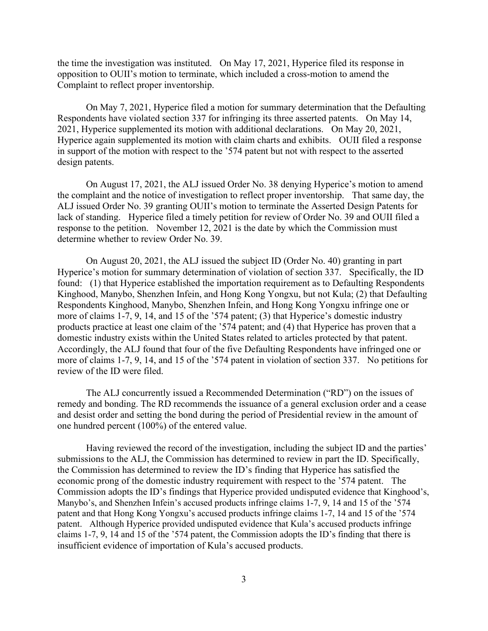the time the investigation was instituted. On May 17, 2021, Hyperice filed its response in opposition to OUII's motion to terminate, which included a cross-motion to amend the Complaint to reflect proper inventorship.

On May 7, 2021, Hyperice filed a motion for summary determination that the Defaulting Respondents have violated section 337 for infringing its three asserted patents. On May 14, 2021, Hyperice supplemented its motion with additional declarations. On May 20, 2021, Hyperice again supplemented its motion with claim charts and exhibits. OUII filed a response in support of the motion with respect to the '574 patent but not with respect to the asserted design patents.

On August 17, 2021, the ALJ issued Order No. 38 denying Hyperice's motion to amend the complaint and the notice of investigation to reflect proper inventorship. That same day, the ALJ issued Order No. 39 granting OUII's motion to terminate the Asserted Design Patents for lack of standing. Hyperice filed a timely petition for review of Order No. 39 and OUII filed a response to the petition. November 12, 2021 is the date by which the Commission must determine whether to review Order No. 39.

On August 20, 2021, the ALJ issued the subject ID (Order No. 40) granting in part Hyperice's motion for summary determination of violation of section 337. Specifically, the ID found: (1) that Hyperice established the importation requirement as to Defaulting Respondents Kinghood, Manybo, Shenzhen Infein, and Hong Kong Yongxu, but not Kula; (2) that Defaulting Respondents Kinghood, Manybo, Shenzhen Infein, and Hong Kong Yongxu infringe one or more of claims 1-7, 9, 14, and 15 of the '574 patent; (3) that Hyperice's domestic industry products practice at least one claim of the '574 patent; and (4) that Hyperice has proven that a domestic industry exists within the United States related to articles protected by that patent. Accordingly, the ALJ found that four of the five Defaulting Respondents have infringed one or more of claims 1-7, 9, 14, and 15 of the '574 patent in violation of section 337. No petitions for review of the ID were filed.

The ALJ concurrently issued a Recommended Determination ("RD") on the issues of remedy and bonding. The RD recommends the issuance of a general exclusion order and a cease and desist order and setting the bond during the period of Presidential review in the amount of one hundred percent (100%) of the entered value.

Having reviewed the record of the investigation, including the subject ID and the parties' submissions to the ALJ, the Commission has determined to review in part the ID. Specifically, the Commission has determined to review the ID's finding that Hyperice has satisfied the economic prong of the domestic industry requirement with respect to the '574 patent. The Commission adopts the ID's findings that Hyperice provided undisputed evidence that Kinghood's, Manybo's, and Shenzhen Infein's accused products infringe claims 1-7, 9, 14 and 15 of the '574 patent and that Hong Kong Yongxu's accused products infringe claims 1-7, 14 and 15 of the '574 patent. Although Hyperice provided undisputed evidence that Kula's accused products infringe claims 1-7, 9, 14 and 15 of the '574 patent, the Commission adopts the ID's finding that there is insufficient evidence of importation of Kula's accused products.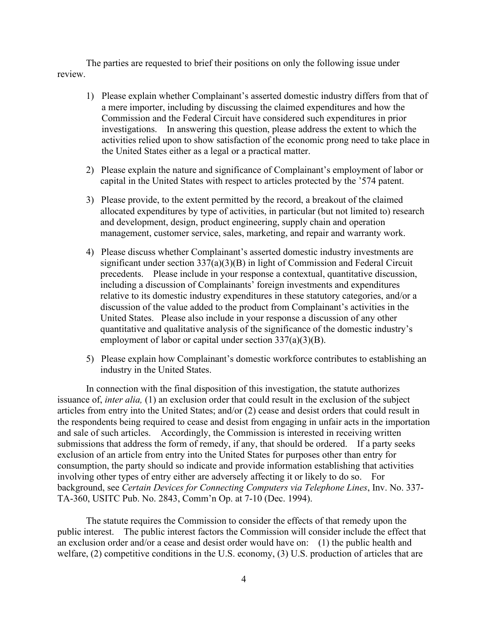The parties are requested to brief their positions on only the following issue under review.

- 1) Please explain whether Complainant's asserted domestic industry differs from that of a mere importer, including by discussing the claimed expenditures and how the Commission and the Federal Circuit have considered such expenditures in prior investigations. In answering this question, please address the extent to which the activities relied upon to show satisfaction of the economic prong need to take place in the United States either as a legal or a practical matter.
- 2) Please explain the nature and significance of Complainant's employment of labor or capital in the United States with respect to articles protected by the '574 patent.
- 3) Please provide, to the extent permitted by the record, a breakout of the claimed allocated expenditures by type of activities, in particular (but not limited to) research and development, design, product engineering, supply chain and operation management, customer service, sales, marketing, and repair and warranty work.
- 4) Please discuss whether Complainant's asserted domestic industry investments are significant under section 337(a)(3)(B) in light of Commission and Federal Circuit precedents. Please include in your response a contextual, quantitative discussion, including a discussion of Complainants' foreign investments and expenditures relative to its domestic industry expenditures in these statutory categories, and/or a discussion of the value added to the product from Complainant's activities in the United States. Please also include in your response a discussion of any other quantitative and qualitative analysis of the significance of the domestic industry's employment of labor or capital under section 337(a)(3)(B).
- 5) Please explain how Complainant's domestic workforce contributes to establishing an industry in the United States.

In connection with the final disposition of this investigation, the statute authorizes issuance of, *inter alia,* (1) an exclusion order that could result in the exclusion of the subject articles from entry into the United States; and/or (2) cease and desist orders that could result in the respondents being required to cease and desist from engaging in unfair acts in the importation and sale of such articles. Accordingly, the Commission is interested in receiving written submissions that address the form of remedy, if any, that should be ordered. If a party seeks exclusion of an article from entry into the United States for purposes other than entry for consumption, the party should so indicate and provide information establishing that activities involving other types of entry either are adversely affecting it or likely to do so. For background, see *Certain Devices for Connecting Computers via Telephone Lines*, Inv. No. 337- TA-360, USITC Pub. No. 2843, Comm'n Op. at 7-10 (Dec. 1994).

The statute requires the Commission to consider the effects of that remedy upon the public interest. The public interest factors the Commission will consider include the effect that an exclusion order and/or a cease and desist order would have on: (1) the public health and welfare, (2) competitive conditions in the U.S. economy, (3) U.S. production of articles that are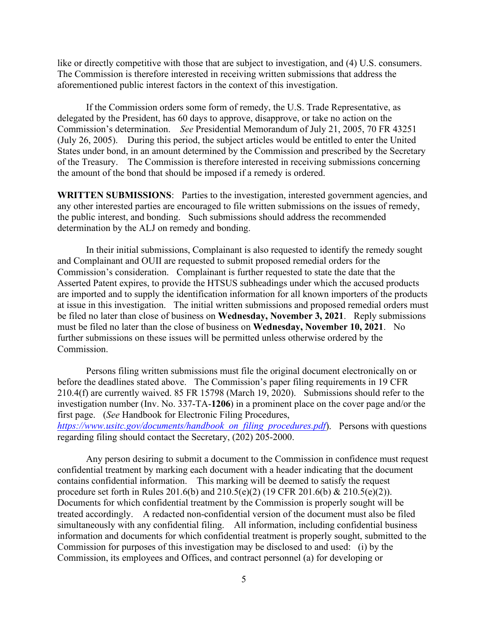like or directly competitive with those that are subject to investigation, and (4) U.S. consumers. The Commission is therefore interested in receiving written submissions that address the aforementioned public interest factors in the context of this investigation.

If the Commission orders some form of remedy, the U.S. Trade Representative, as delegated by the President, has 60 days to approve, disapprove, or take no action on the Commission's determination. *See* Presidential Memorandum of July 21, 2005, 70 FR 43251 (July 26, 2005). During this period, the subject articles would be entitled to enter the United States under bond, in an amount determined by the Commission and prescribed by the Secretary of the Treasury. The Commission is therefore interested in receiving submissions concerning the amount of the bond that should be imposed if a remedy is ordered.

**WRITTEN SUBMISSIONS**: Parties to the investigation, interested government agencies, and any other interested parties are encouraged to file written submissions on the issues of remedy, the public interest, and bonding. Such submissions should address the recommended determination by the ALJ on remedy and bonding.

In their initial submissions, Complainant is also requested to identify the remedy sought and Complainant and OUII are requested to submit proposed remedial orders for the Commission's consideration. Complainant is further requested to state the date that the Asserted Patent expires, to provide the HTSUS subheadings under which the accused products are imported and to supply the identification information for all known importers of the products at issue in this investigation. The initial written submissions and proposed remedial orders must be filed no later than close of business on **Wednesday, November 3, 2021**. Reply submissions must be filed no later than the close of business on **Wednesday, November 10, 2021**. No further submissions on these issues will be permitted unless otherwise ordered by the Commission.

Persons filing written submissions must file the original document electronically on or before the deadlines stated above. The Commission's paper filing requirements in 19 CFR 210.4(f) are currently waived. 85 FR 15798 (March 19, 2020). Submissions should refer to the investigation number (Inv. No. 337-TA-**1206**) in a prominent place on the cover page and/or the first page. (*See* Handbook for Electronic Filing Procedures, *[https://www.usitc.gov/documents/handbook\\_on\\_filing\\_procedures.pdf](https://www.usitc.gov/documents/handbook_on_filing_procedures.pdf)*). Persons with questions regarding filing should contact the Secretary, (202) 205-2000.

Any person desiring to submit a document to the Commission in confidence must request confidential treatment by marking each document with a header indicating that the document contains confidential information. This marking will be deemed to satisfy the request procedure set forth in Rules 201.6(b) and 210.5(e)(2) (19 CFR 201.6(b) & 210.5(e)(2)). Documents for which confidential treatment by the Commission is properly sought will be treated accordingly. A redacted non-confidential version of the document must also be filed simultaneously with any confidential filing. All information, including confidential business information and documents for which confidential treatment is properly sought, submitted to the Commission for purposes of this investigation may be disclosed to and used: (i) by the Commission, its employees and Offices, and contract personnel (a) for developing or